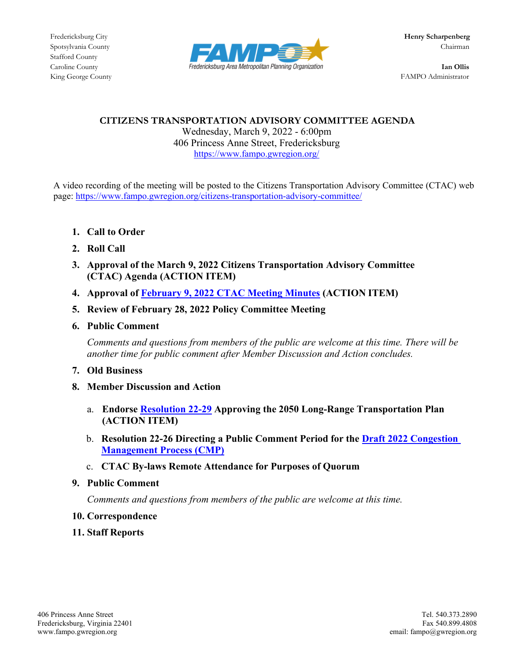Stafford County



King George County FAMPO Administrator

## **CITIZENS TRANSPORTATION ADVISORY COMMITTEE AGENDA**

Wednesday, March 9, 2022 - 6:00pm 406 Princess Anne Street, Fredericksburg <https://www.fampo.gwregion.org/>

A video recording of the meeting will be posted to the Citizens Transportation Advisory Committee (CTAC) web page[: https://www.fampo.gwregion.org/citizens-transportation-advisory-committee/](https://www.fampo.gwregion.org/citizens-transportation-advisory-committee/)

- **1. Call to Order**
- **2. Roll Call**
- **3. Approval of the March 9, 2022 Citizens Transportation Advisory Committee (CTAC) Agenda (ACTION ITEM)**
- **4. Approval of February 9, 2022 [CTAC Meeting Minutes](https://www.fampo.gwregion.org/wp-content/uploads/2022/03/02.09.2022_CTACMinutesV2.pdf) (ACTION ITEM)**
- **5. Review of February 28, 2022 Policy Committee Meeting**
- **6. Public Comment**

*Comments and questions from members of the public are welcome at this time. There will be another time for public comment after Member Discussion and Action concludes.*

- **7. Old Business**
- **8. Member Discussion and Action**
	- a. **Endorse [Resolution 22-29](https://www.fampo.gwregion.org/wp-content/uploads/2022/03/Draft-Resolution-22-29-for-2050-LRTP-Approval.pdf) Approving the 2050 Long-Range Transportation Plan (ACTION ITEM)**
	- b. **Resolution 22-26 Directing a Public Comment Period for the [Draft 2022 Congestion](https://www.fampo.gwregion.org/wp-content/uploads/2022/03/2021-CMP-DRAFT.pdf)  [Management Process](https://www.fampo.gwregion.org/wp-content/uploads/2022/03/2021-CMP-DRAFT.pdf) (CMP)**
	- c. **CTAC By-laws Remote Attendance for Purposes of Quorum**
- **9. Public Comment**

*Comments and questions from members of the public are welcome at this time.*

- **10. Correspondence**
- **11. Staff Reports**